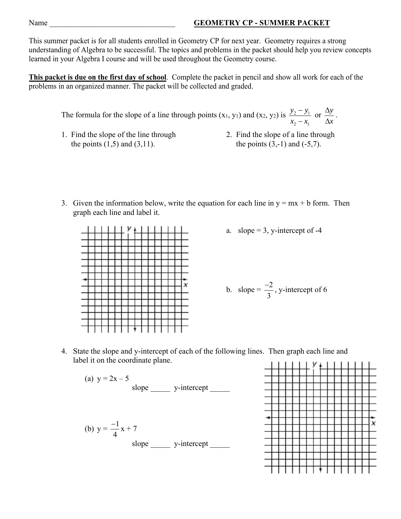## Name **GEOMETRY CP - SUMMER PACKET**

This summer packet is for all students enrolled in Geometry CP for next year. Geometry requires a strong understanding of Algebra to be successful. The topics and problems in the packet should help you review concepts learned in your Algebra I course and will be used throughout the Geometry course.

**This packet is due on the first day of school**. Complete the packet in pencil and show all work for each of the problems in an organized manner. The packet will be collected and graded.

The formula for the slope of a line through points  $(x_1, y_1)$  and  $(x_2, y_2)$  is  $\frac{y_2 - y_1}{x_2 - x_1}$ 2  $\lambda_1$  $y_2 - y$  $x_2 - x$  $\frac{-y_1}{-x_1}$  or  $\frac{\Delta y}{\Delta x}$  $\frac{\Delta y}{\Delta x}$ .

- 1. Find the slope of the line through 2. Find the slope of a line through the points  $(1,5)$  and  $(3,11)$ . the points  $(3,-1)$  and  $(-5,7)$ .
- 
- 3. Given the information below, write the equation for each line in  $y = mx + b$  form. Then graph each line and label it.



a. slope  $= 3$ , y-intercept of -4

b. slope = 
$$
\frac{-2}{3}
$$
, y-intercept of 6

4. State the slope and y-intercept of each of the following lines. Then graph each line and label it on the coordinate plane.

(a) 
$$
y = 2x - 5
$$
  
\nslope \_\_\_\_\_\_\_\_ y-intercept \_\_\_\_\_\_  
\n(b)  $y = \frac{-1}{4}x + 7$   
\nslope \_\_\_\_\_\_\_\_ y-intercept \_\_\_\_\_\_

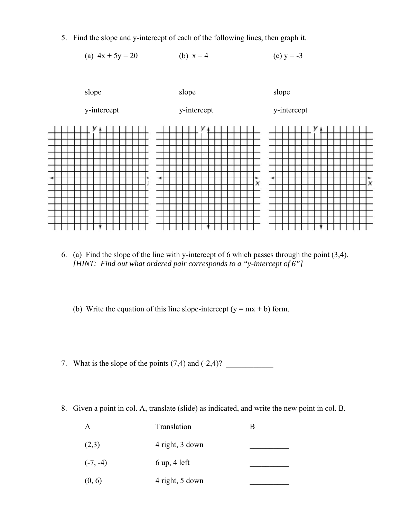5. Find the slope and y-intercept of each of the following lines, then graph it.





- 6. (a) Find the slope of the line with y-intercept of 6 which passes through the point (3,4). *[HINT: Find out what ordered pair corresponds to a "y-intercept of 6"]*
	- (b) Write the equation of this line slope-intercept  $(y = mx + b)$  form.
- 7. What is the slope of the points  $(7,4)$  and  $(-2,4)$ ?
- 8. Given a point in col. A, translate (slide) as indicated, and write the new point in col. B.

| $\overline{A}$ | Translation                    | в |
|----------------|--------------------------------|---|
| (2,3)          | 4 right, 3 down                |   |
| $(-7, -4)$     | $6 \text{ up}, 4 \text{ left}$ |   |
| (0, 6)         | 4 right, 5 down                |   |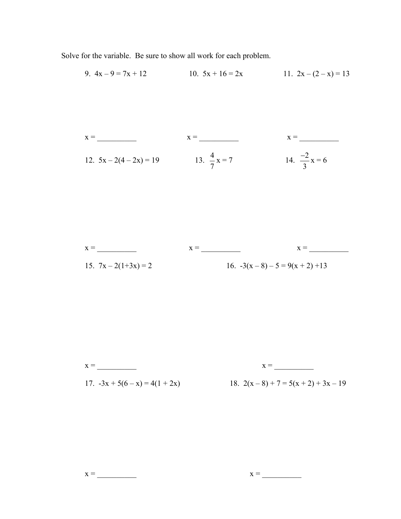Solve for the variable. Be sure to show all work for each problem.



x = \_\_\_\_\_\_\_\_\_\_ x = \_\_\_\_\_\_\_\_\_\_